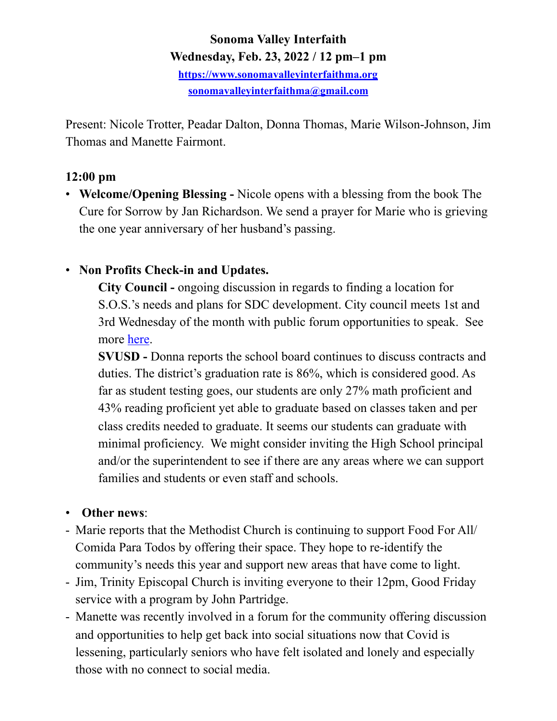#### **Sonoma Valley Interfaith Wednesday, Feb. 23, 2022 / 12 pm–1 pm**

**<https://www.sonomavalleyinterfaithma.org> [sonomavalleyinterfaithma@gmail.com](mailto:sonomavalleyinterfaithma@gmail.com)**

Present: Nicole Trotter, Peadar Dalton, Donna Thomas, Marie Wilson-Johnson, Jim Thomas and Manette Fairmont.

# **12:00 pm**

• **Welcome/Opening Blessing -** Nicole opens with a blessing from the book The Cure for Sorrow by Jan Richardson. We send a prayer for Marie who is grieving the one year anniversary of her husband's passing.

# • **Non Profits Check-in and Updates.**

**City Council -** ongoing discussion in regards to finding a location for S.O.S.'s needs and plans for SDC development. City council meets 1st and 3rd Wednesday of the month with public forum opportunities to speak. See more [here](https://www.sonomacity.org/sonoma-city-council-selects-jack-ding-as-mayor-kelso-barnett-as-vice-mayor/).

**SVUSD -** Donna reports the school board continues to discuss contracts and duties. The district's graduation rate is 86%, which is considered good. As far as student testing goes, our students are only 27% math proficient and 43% reading proficient yet able to graduate based on classes taken and per class credits needed to graduate. It seems our students can graduate with minimal proficiency. We might consider inviting the High School principal and/or the superintendent to see if there are any areas where we can support families and students or even staff and schools.

# • **Other news**:

- Marie reports that the Methodist Church is continuing to support Food For All/ Comida Para Todos by offering their space. They hope to re-identify the community's needs this year and support new areas that have come to light.
- Jim, Trinity Episcopal Church is inviting everyone to their 12pm, Good Friday service with a program by John Partridge.
- Manette was recently involved in a forum for the community offering discussion and opportunities to help get back into social situations now that Covid is lessening, particularly seniors who have felt isolated and lonely and especially those with no connect to social media.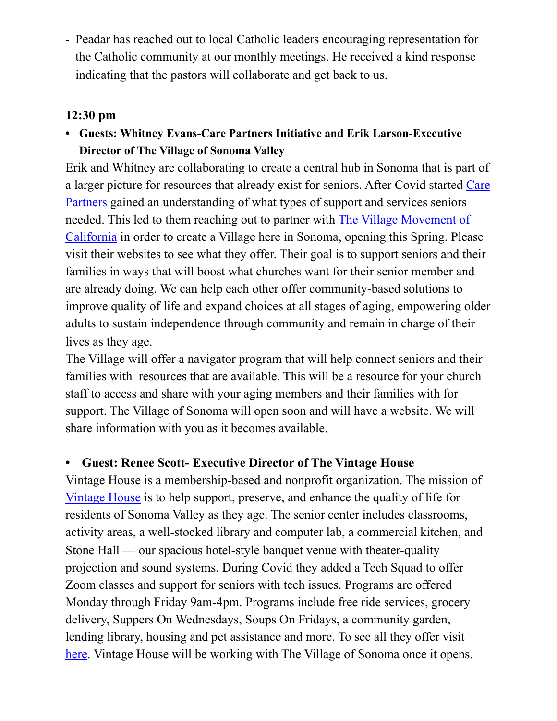- Peadar has reached out to local Catholic leaders encouraging representation for the Catholic community at our monthly meetings. He received a kind response indicating that the pastors will collaborate and get back to us.

### **12:30 pm**

**• Guests: Whitney Evans-Care Partners Initiative and Erik Larson-Executive Director of The Village of Sonoma Valley** 

Erik and Whitney are collaborating to create a central hub in Sonoma that is part of a larger picture for resources that already exist for seniors. After Covid started [Care](https://carepartnersinitiative.org/)  [Partners](https://carepartnersinitiative.org/) gained an understanding of what types of support and services seniors needed. This led to them reaching out to partner with [The Village Movement of](https://villagemovementcalifornia.org/)  [California](https://villagemovementcalifornia.org/) in order to create a Village here in Sonoma, opening this Spring. Please visit their websites to see what they offer. Their goal is to support seniors and their families in ways that will boost what churches want for their senior member and are already doing. We can help each other offer community-based solutions to improve quality of life and expand choices at all stages of aging, empowering older adults to sustain independence through community and remain in charge of their lives as they age.

The Village will offer a navigator program that will help connect seniors and their families with resources that are available. This will be a resource for your church staff to access and share with your aging members and their families with for support. The Village of Sonoma will open soon and will have a website. We will share information with you as it becomes available.

# **• Guest: Renee Scott- Executive Director of The Vintage House**

Vintage House is a membership-based and nonprofit organization. The mission of [Vintage House](https://vintagehouse.org/our-history/) is to help support, preserve, and enhance the quality of life for residents of Sonoma Valley as they age. The senior center includes classrooms, activity areas, a well-stocked library and computer lab, a commercial kitchen, and Stone Hall — our spacious hotel-style banquet venue with theater-quality projection and sound systems. During Covid they added a Tech Squad to offer Zoom classes and support for seniors with tech issues. Programs are offered Monday through Friday 9am-4pm. Programs include free ride services, grocery delivery, Suppers On Wednesdays, Soups On Fridays, a community garden, lending library, housing and pet assistance and more. To see all they offer visit [here](https://vintagehouse.org/programs-services/). Vintage House will be working with The Village of Sonoma once it opens.